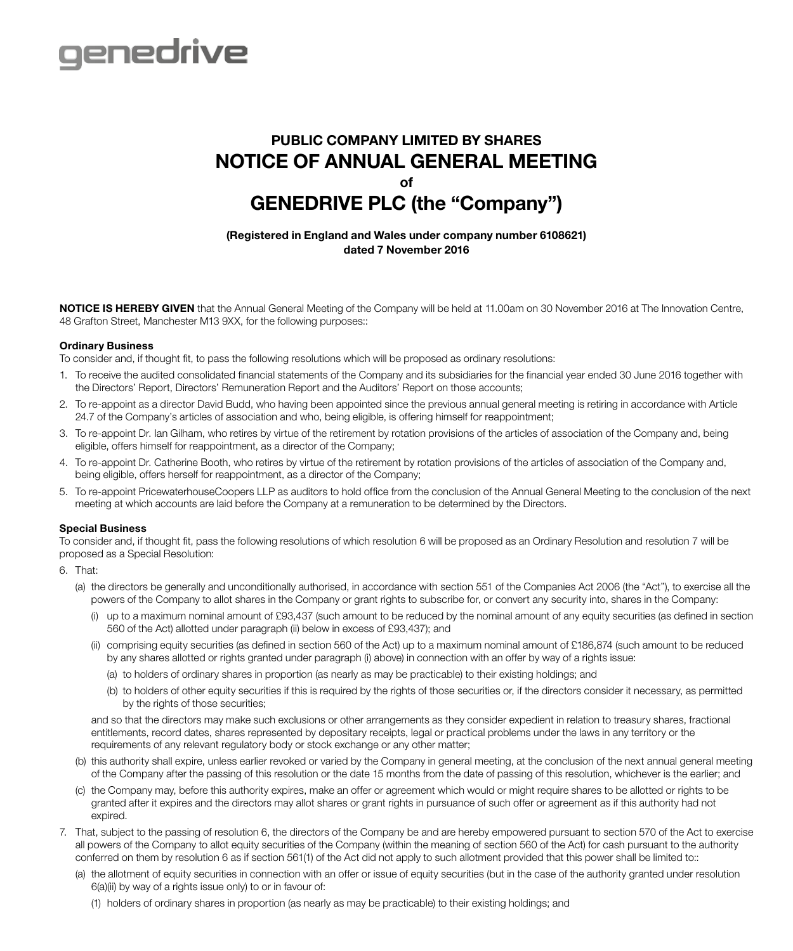# penedrive

# PUBLIC COMPANY LIMITED BY SHARES NOTICE OF ANNUAL GENERAL MEETING of

GENEDRIVE PLC (the "Company")

(Registered in England and Wales under company number 6108621) dated 7 November 2016

NOTICE IS HEREBY GIVEN that the Annual General Meeting of the Company will be held at 11.00am on 30 November 2016 at The Innovation Centre. 48 Grafton Street, Manchester M13 9XX, for the following purposes::

## Ordinary Business

To consider and, if thought fit, to pass the following resolutions which will be proposed as ordinary resolutions:

- 1. To receive the audited consolidated financial statements of the Company and its subsidiaries for the financial year ended 30 June 2016 together with the Directors' Report, Directors' Remuneration Report and the Auditors' Report on those accounts;
- 2. To re-appoint as a director David Budd, who having been appointed since the previous annual general meeting is retiring in accordance with Article 24.7 of the Company's articles of association and who, being eligible, is offering himself for reappointment;
- 3. To re-appoint Dr. Ian Gilham, who retires by virtue of the retirement by rotation provisions of the articles of association of the Company and, being eligible, offers himself for reappointment, as a director of the Company;
- 4. To re-appoint Dr. Catherine Booth, who retires by virtue of the retirement by rotation provisions of the articles of association of the Company and, being eligible, offers herself for reappointment, as a director of the Company;
- 5. To re-appoint PricewaterhouseCoopers LLP as auditors to hold office from the conclusion of the Annual General Meeting to the conclusion of the next meeting at which accounts are laid before the Company at a remuneration to be determined by the Directors.

#### Special Business

To consider and, if thought fit, pass the following resolutions of which resolution 6 will be proposed as an Ordinary Resolution and resolution 7 will be proposed as a Special Resolution:

6. That:

(a) the directors be generally and unconditionally authorised, in accordance with section 551 of the Companies Act 2006 (the "Act"), to exercise all the powers of the Company to allot shares in the Company or grant rights to subscribe for, or convert any security into, shares in the Company:

- (i) up to a maximum nominal amount of £93,437 (such amount to be reduced by the nominal amount of any equity securities (as defined in section 560 of the Act) allotted under paragraph (ii) below in excess of £93,437); and
- (ii) comprising equity securities (as defined in section 560 of the Act) up to a maximum nominal amount of £186,874 (such amount to be reduced by any shares allotted or rights granted under paragraph (i) above) in connection with an offer by way of a rights issue:
	- (a) to holders of ordinary shares in proportion (as nearly as may be practicable) to their existing holdings; and
	- (b) to holders of other equity securities if this is required by the rights of those securities or, if the directors consider it necessary, as permitted by the rights of those securities;

and so that the directors may make such exclusions or other arrangements as they consider expedient in relation to treasury shares, fractional entitlements, record dates, shares represented by depositary receipts, legal or practical problems under the laws in any territory or the requirements of any relevant regulatory body or stock exchange or any other matter;

- (b) this authority shall expire, unless earlier revoked or varied by the Company in general meeting, at the conclusion of the next annual general meeting of the Company after the passing of this resolution or the date 15 months from the date of passing of this resolution, whichever is the earlier; and
- (c) the Company may, before this authority expires, make an offer or agreement which would or might require shares to be allotted or rights to be granted after it expires and the directors may allot shares or grant rights in pursuance of such offer or agreement as if this authority had not expired.
- 7. That, subject to the passing of resolution 6, the directors of the Company be and are hereby empowered pursuant to section 570 of the Act to exercise all powers of the Company to allot equity securities of the Company (within the meaning of section 560 of the Act) for cash pursuant to the authority conferred on them by resolution 6 as if section 561(1) of the Act did not apply to such allotment provided that this power shall be limited to::
	- (a) the allotment of equity securities in connection with an offer or issue of equity securities (but in the case of the authority granted under resolution 6(a)(ii) by way of a rights issue only) to or in favour of:
		- (1) holders of ordinary shares in proportion (as nearly as may be practicable) to their existing holdings; and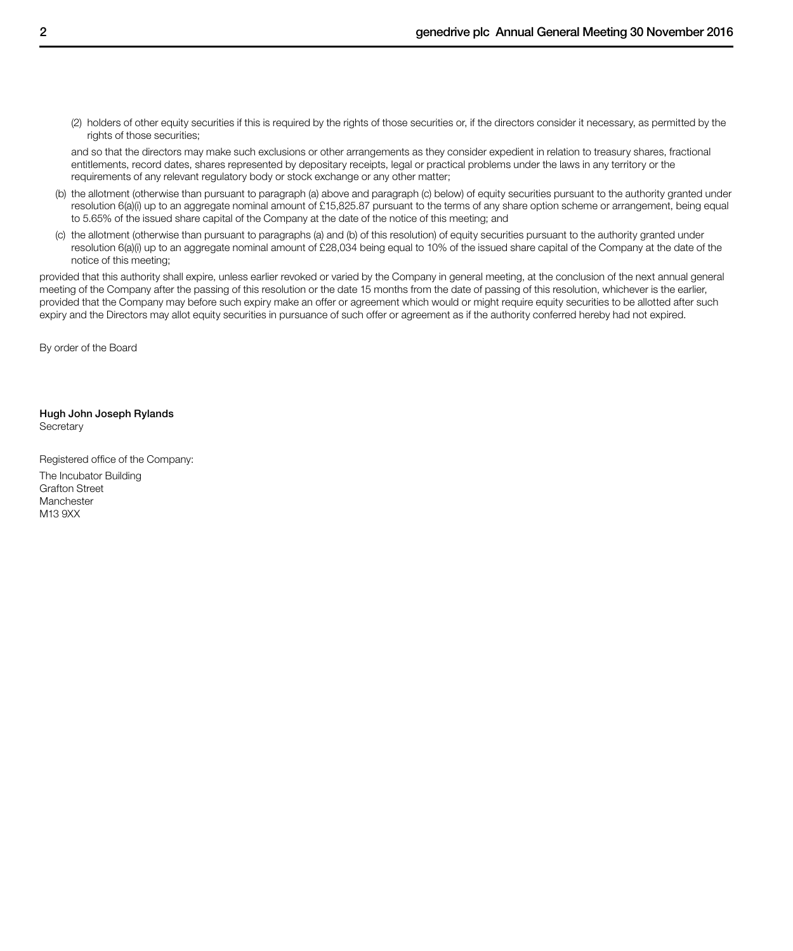(2) holders of other equity securities if this is required by the rights of those securities or, if the directors consider it necessary, as permitted by the rights of those securities;

and so that the directors may make such exclusions or other arrangements as they consider expedient in relation to treasury shares, fractional entitlements, record dates, shares represented by depositary receipts, legal or practical problems under the laws in any territory or the requirements of any relevant regulatory body or stock exchange or any other matter;

- (b) the allotment (otherwise than pursuant to paragraph (a) above and paragraph (c) below) of equity securities pursuant to the authority granted under resolution 6(a)(i) up to an aggregate nominal amount of £15,825.87 pursuant to the terms of any share option scheme or arrangement, being equal to 5.65% of the issued share capital of the Company at the date of the notice of this meeting; and
- (c) the allotment (otherwise than pursuant to paragraphs (a) and (b) of this resolution) of equity securities pursuant to the authority granted under resolution 6(a)(i) up to an aggregate nominal amount of £28,034 being equal to 10% of the issued share capital of the Company at the date of the notice of this meeting;

provided that this authority shall expire, unless earlier revoked or varied by the Company in general meeting, at the conclusion of the next annual general meeting of the Company after the passing of this resolution or the date 15 months from the date of passing of this resolution, whichever is the earlier, provided that the Company may before such expiry make an offer or agreement which would or might require equity securities to be allotted after such expiry and the Directors may allot equity securities in pursuance of such offer or agreement as if the authority conferred hereby had not expired.

By order of the Board

Hugh John Joseph Rylands **Secretary** 

Registered office of the Company:

The Incubator Building Grafton Street Manchester M13 9XX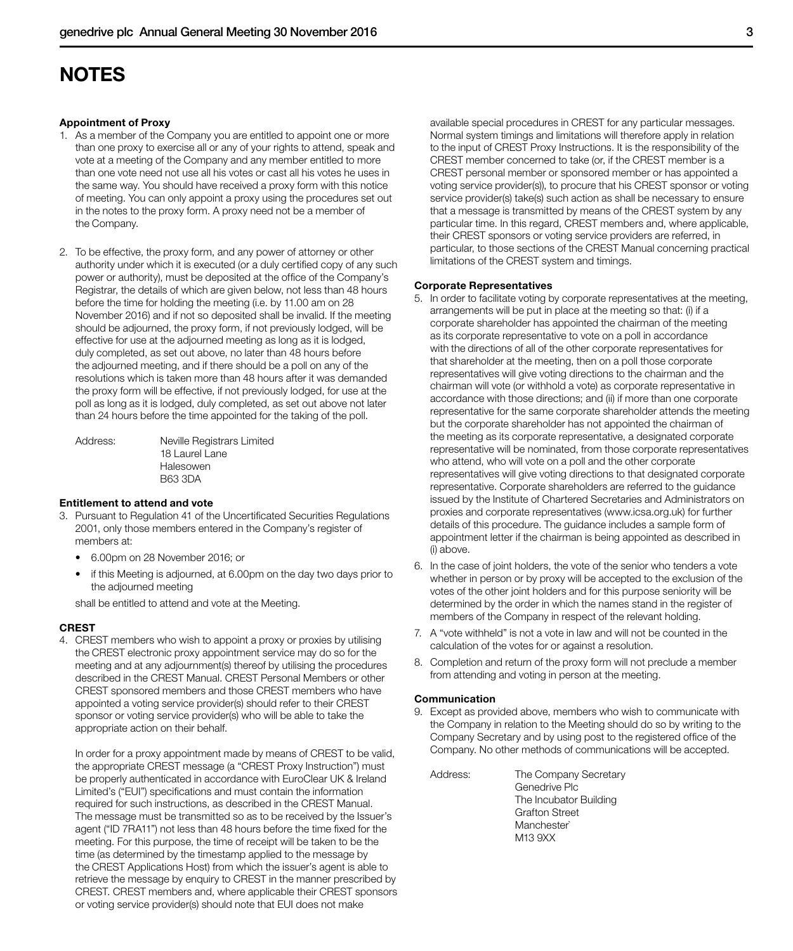# NOTES

#### Appointment of Proxy

- 1. As a member of the Company you are entitled to appoint one or more than one proxy to exercise all or any of your rights to attend, speak and vote at a meeting of the Company and any member entitled to more than one vote need not use all his votes or cast all his votes he uses in the same way. You should have received a proxy form with this notice of meeting. You can only appoint a proxy using the procedures set out in the notes to the proxy form. A proxy need not be a member of the Company.
- 2. To be effective, the proxy form, and any power of attorney or other authority under which it is executed (or a duly certified copy of any such power or authority), must be deposited at the office of the Company's Registrar, the details of which are given below, not less than 48 hours before the time for holding the meeting (i.e. by 11.00 am on 28 November 2016) and if not so deposited shall be invalid. If the meeting should be adjourned, the proxy form, if not previously lodged, will be effective for use at the adjourned meeting as long as it is lodged, duly completed, as set out above, no later than 48 hours before the adjourned meeting, and if there should be a poll on any of the resolutions which is taken more than 48 hours after it was demanded the proxy form will be effective, if not previously lodged, for use at the poll as long as it is lodged, duly completed, as set out above not later than 24 hours before the time appointed for the taking of the poll.

Address: Neville Registrars Limited 18 Laurel Lane

 Halesowen B63 3DA

#### Entitlement to attend and vote

- 3. Pursuant to Regulation 41 of the Uncertificated Securities Regulations 2001, only those members entered in the Company's register of members at:
	- 6.00pm on 28 November 2016; or
	- if this Meeting is adjourned, at 6.00pm on the day two days prior to the adjourned meeting

shall be entitled to attend and vote at the Meeting.

#### CREST

4. CREST members who wish to appoint a proxy or proxies by utilising the CREST electronic proxy appointment service may do so for the meeting and at any adjournment(s) thereof by utilising the procedures described in the CREST Manual. CREST Personal Members or other CREST sponsored members and those CREST members who have appointed a voting service provider(s) should refer to their CREST sponsor or voting service provider(s) who will be able to take the appropriate action on their behalf.

In order for a proxy appointment made by means of CREST to be valid, the appropriate CREST message (a "CREST Proxy Instruction") must be properly authenticated in accordance with EuroClear UK & Ireland Limited's ("EUI") specifications and must contain the information required for such instructions, as described in the CREST Manual. The message must be transmitted so as to be received by the Issuer's agent ("ID 7RA11") not less than 48 hours before the time fixed for the meeting. For this purpose, the time of receipt will be taken to be the time (as determined by the timestamp applied to the message by the CREST Applications Host) from which the issuer's agent is able to retrieve the message by enquiry to CREST in the manner prescribed by CREST. CREST members and, where applicable their CREST sponsors or voting service provider(s) should note that EUI does not make

available special procedures in CREST for any particular messages. Normal system timings and limitations will therefore apply in relation to the input of CREST Proxy Instructions. It is the responsibility of the CREST member concerned to take (or, if the CREST member is a CREST personal member or sponsored member or has appointed a voting service provider(s)), to procure that his CREST sponsor or voting service provider(s) take(s) such action as shall be necessary to ensure that a message is transmitted by means of the CREST system by any particular time. In this regard, CREST members and, where applicable, their CREST sponsors or voting service providers are referred, in particular, to those sections of the CREST Manual concerning practical limitations of the CREST system and timings.

#### Corporate Representatives

- 5. In order to facilitate voting by corporate representatives at the meeting, arrangements will be put in place at the meeting so that: (i) if a corporate shareholder has appointed the chairman of the meeting as its corporate representative to vote on a poll in accordance with the directions of all of the other corporate representatives for that shareholder at the meeting, then on a poll those corporate representatives will give voting directions to the chairman and the chairman will vote (or withhold a vote) as corporate representative in accordance with those directions; and (ii) if more than one corporate representative for the same corporate shareholder attends the meeting but the corporate shareholder has not appointed the chairman of the meeting as its corporate representative, a designated corporate representative will be nominated, from those corporate representatives who attend, who will vote on a poll and the other corporate representatives will give voting directions to that designated corporate representative. Corporate shareholders are referred to the guidance issued by the Institute of Chartered Secretaries and Administrators on proxies and corporate representatives (www.icsa.org.uk) for further details of this procedure. The guidance includes a sample form of appointment letter if the chairman is being appointed as described in (i) above.
- 6. In the case of joint holders, the vote of the senior who tenders a vote whether in person or by proxy will be accepted to the exclusion of the votes of the other joint holders and for this purpose seniority will be determined by the order in which the names stand in the register of members of the Company in respect of the relevant holding.
- 7. A "vote withheld" is not a vote in law and will not be counted in the calculation of the votes for or against a resolution.
- 8. Completion and return of the proxy form will not preclude a member from attending and voting in person at the meeting.

#### Communication

9. Except as provided above, members who wish to communicate with the Company in relation to the Meeting should do so by writing to the Company Secretary and by using post to the registered office of the Company. No other methods of communications will be accepted.

Address: The Company Secretary Genedrive Plc The Incubator Building Grafton Street **Manchester** M13 9XX